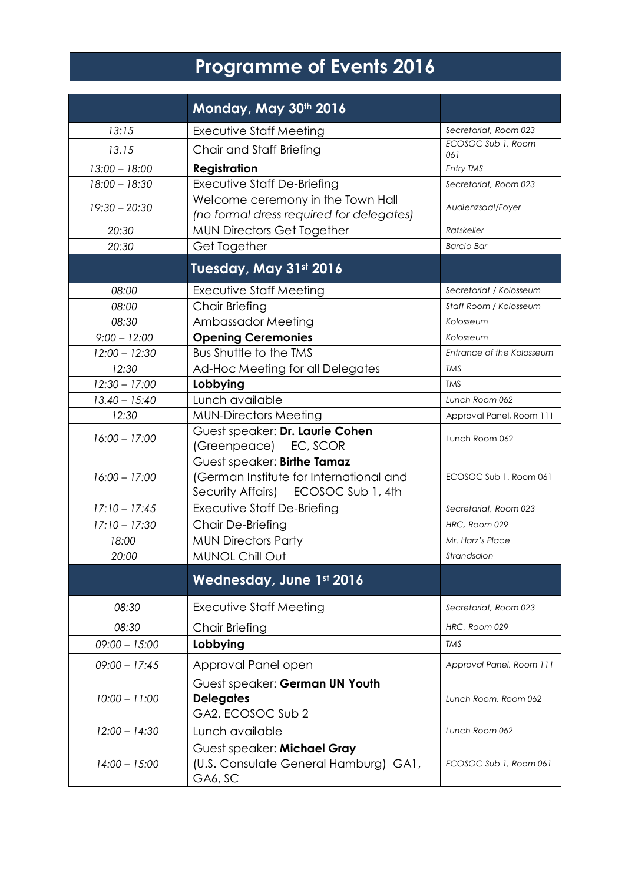## **Programme of Events 2016**

|                 | Monday, May 30th 2016                                                                                         |                           |
|-----------------|---------------------------------------------------------------------------------------------------------------|---------------------------|
| 13:15           | <b>Executive Staff Meeting</b>                                                                                | Secretariat, Room 023     |
| 13.15           | Chair and Staff Briefing                                                                                      | ECOSOC Sub 1, Room<br>061 |
| $13:00 - 18:00$ | <b>Registration</b>                                                                                           | Entry TMS                 |
| $18:00 - 18:30$ | <b>Executive Staff De-Briefing</b>                                                                            | Secretariat, Room 023     |
| $19:30 - 20:30$ | Welcome ceremony in the Town Hall<br>(no formal dress required for delegates)                                 | Audienzsaal/Foyer         |
| 20:30           | <b>MUN Directors Get Together</b>                                                                             | Ratskeller                |
| 20:30           | Get Together                                                                                                  | <b>Barcio Bar</b>         |
|                 | Tuesday, May 31st 2016                                                                                        |                           |
| 08:00           | <b>Executive Staff Meeting</b>                                                                                | Secretariat / Kolosseum   |
| 08:00           | Chair Briefing                                                                                                | Staff Room / Kolosseum    |
| 08:30           | Ambassador Meeting                                                                                            | Kolosseum                 |
| $9:00 - 12:00$  | <b>Opening Ceremonies</b>                                                                                     | Kolosseum                 |
| $12:00 - 12:30$ | Bus Shuttle to the TMS                                                                                        | Entrance of the Kolosseum |
| 12:30           | Ad-Hoc Meeting for all Delegates                                                                              | <b>TMS</b>                |
| $12:30 - 17:00$ | Lobbying                                                                                                      | <b>TMS</b>                |
| $13.40 - 15:40$ | Lunch available                                                                                               | Lunch Room 062            |
| 12:30           | <b>MUN-Directors Meeting</b>                                                                                  | Approval Panel, Room 111  |
| $16:00 - 17:00$ | Guest speaker: Dr. Laurie Cohen<br>(Greenpeace) EC, SCOR                                                      | Lunch Room 062            |
| $16:00 - 17:00$ | Guest speaker: Birthe Tamaz<br>(German Institute for International and<br>Security Affairs) ECOSOC Sub 1, 4th | ECOSOC Sub 1, Room 061    |
| $17:10 - 17:45$ | <b>Executive Staff De-Briefing</b>                                                                            | Secretariat, Room 023     |
| $17:10 - 17:30$ | Chair De-Briefing                                                                                             | HRC, Room 029             |
| 18:00           | <b>MUN Directors Party</b>                                                                                    | Mr. Harz's Place          |
| 20:00           | <b>MUNOL Chill Out</b>                                                                                        | Strandsalon               |
|                 | <b>Wednesday, June 1st 2016</b>                                                                               |                           |
| 08:30           | Executive Staff Meeting                                                                                       | Secretariat, Room 023     |
| 08:30           | <b>Chair Briefing</b>                                                                                         | HRC, Room 029             |
| $09:00 - 15:00$ | Lobbying                                                                                                      | <b>TMS</b>                |
| $09:00 - 17:45$ | Approval Panel open                                                                                           | Approval Panel, Room 111  |
| $10:00 - 11:00$ | Guest speaker: German UN Youth<br><b>Delegates</b><br>GA2, ECOSOC Sub 2                                       | Lunch Room, Room 062      |
| $12:00 - 14:30$ | Lunch available                                                                                               | Lunch Room 062            |
| $14:00 - 15:00$ | Guest speaker: Michael Gray<br>(U.S. Consulate General Hamburg) GA1,<br>GA6, SC                               | ECOSOC Sub 1, Room 061    |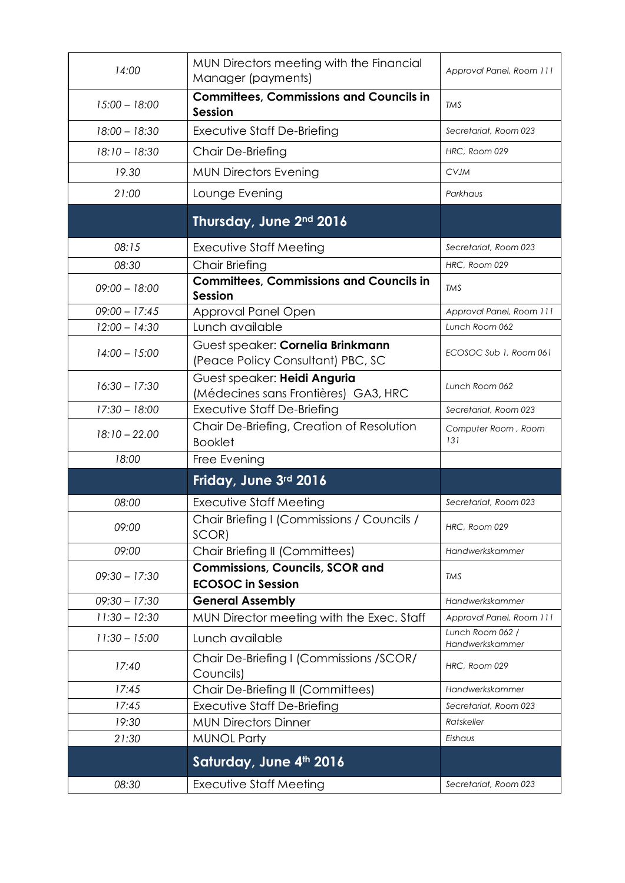| 14:00           | MUN Directors meeting with the Financial<br>Manager (payments)         | Approval Panel, Room 111            |
|-----------------|------------------------------------------------------------------------|-------------------------------------|
| $15:00 - 18:00$ | <b>Committees, Commissions and Councils in</b><br><b>Session</b>       | TMS                                 |
| $18:00 - 18:30$ | Executive Staff De-Briefing                                            | Secretariat, Room 023               |
| $18:10 - 18:30$ | Chair De-Briefing                                                      | HRC, Room 029                       |
| 19.30           | <b>MUN Directors Evening</b>                                           | <b>CVJM</b>                         |
| 21:00           | Lounge Evening                                                         | Parkhaus                            |
|                 | Thursday, June 2nd 2016                                                |                                     |
| 08:15           | Executive Staff Meeting                                                | Secretariat, Room 023               |
| 08:30           | <b>Chair Briefing</b>                                                  | HRC, Room 029                       |
| $09:00 - 18:00$ | <b>Committees, Commissions and Councils in</b><br><b>Session</b>       | <b>TMS</b>                          |
| $09:00 - 17:45$ | Approval Panel Open                                                    | Approval Panel, Room 111            |
| $12:00 - 14:30$ | Lunch available                                                        | Lunch Room 062                      |
| $14:00 - 15:00$ | Guest speaker: Cornelia Brinkmann<br>(Peace Policy Consultant) PBC, SC | ECOSOC Sub 1, Room 061              |
| $16:30 - 17:30$ | Guest speaker: Heidi Anguria<br>(Médecines sans Frontières) GA3, HRC   | Lunch Room 062                      |
| $17:30 - 18:00$ | Executive Staff De-Briefing                                            | Secretariat, Room 023               |
| $18:10 - 22.00$ | Chair De-Briefing, Creation of Resolution<br><b>Booklet</b>            | Computer Room, Room<br>131          |
| 18:00           | Free Evening                                                           |                                     |
|                 | Friday, June 3rd 2016                                                  |                                     |
| 08:00           | <b>Executive Staff Meeting</b>                                         | Secretariat, Room 023               |
| 09:00           | Chair Briefing I (Commissions / Councils /<br>SCOR)                    | HRC, Room 029                       |
| 09:00           | Chair Briefing II (Committees)                                         | Handwerkskammer                     |
| $09:30 - 17:30$ | <b>Commissions, Councils, SCOR and</b><br><b>ECOSOC</b> in Session     | <b>TMS</b>                          |
| $09:30 - 17:30$ | <b>General Assembly</b>                                                | Handwerkskammer                     |
| $11:30 - 12:30$ | MUN Director meeting with the Exec. Staff                              | Approval Panel, Room 111            |
| $11:30 - 15:00$ | Lunch available                                                        | Lunch Room 062 /<br>Handwerkskammer |
| 17:40           | Chair De-Briefing I (Commissions /SCOR/<br>Councils)                   | HRC, Room 029                       |
| 17:45           | Chair De-Briefing II (Committees)                                      | Handwerkskammer                     |
| 17:45           | Executive Staff De-Briefing                                            | Secretariat, Room 023               |
| 19:30           | <b>MUN Directors Dinner</b>                                            | Ratskeller                          |
| 21:30           | <b>MUNOL Party</b>                                                     | Eishaus                             |
|                 | Saturday, June 4th 2016                                                |                                     |
| 08:30           | <b>Executive Staff Meeting</b>                                         | Secretariat, Room 023               |